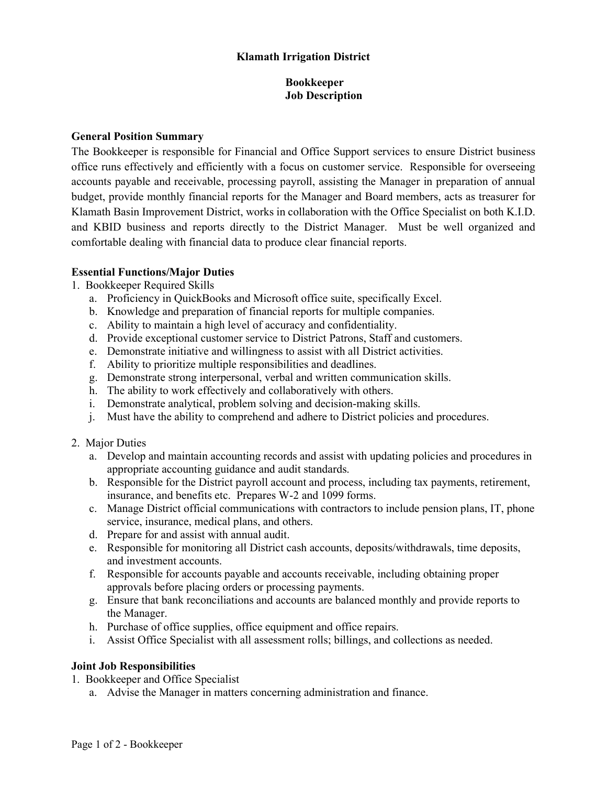# **Klamath Irrigation District**

# **Bookkeeper Job Description**

#### **General Position Summary**

The Bookkeeper is responsible for Financial and Office Support services to ensure District business office runs effectively and efficiently with a focus on customer service. Responsible for overseeing accounts payable and receivable, processing payroll, assisting the Manager in preparation of annual budget, provide monthly financial reports for the Manager and Board members, acts as treasurer for Klamath Basin Improvement District, works in collaboration with the Office Specialist on both K.I.D. and KBID business and reports directly to the District Manager. Must be well organized and comfortable dealing with financial data to produce clear financial reports.

# **Essential Functions/Major Duties**

- 1. Bookkeeper Required Skills
	- a. Proficiency in QuickBooks and Microsoft office suite, specifically Excel.
	- b. Knowledge and preparation of financial reports for multiple companies.
	- c. Ability to maintain a high level of accuracy and confidentiality.
	- d. Provide exceptional customer service to District Patrons, Staff and customers.
	- e. Demonstrate initiative and willingness to assist with all District activities.
	- f. Ability to prioritize multiple responsibilities and deadlines.
	- g. Demonstrate strong interpersonal, verbal and written communication skills.
	- h. The ability to work effectively and collaboratively with others.
	- i. Demonstrate analytical, problem solving and decision-making skills.
	- j. Must have the ability to comprehend and adhere to District policies and procedures.
- 2. Major Duties
	- a. Develop and maintain accounting records and assist with updating policies and procedures in appropriate accounting guidance and audit standards.
	- b. Responsible for the District payroll account and process, including tax payments, retirement, insurance, and benefits etc. Prepares W-2 and 1099 forms.
	- c. Manage District official communications with contractors to include pension plans, IT, phone service, insurance, medical plans, and others.
	- d. Prepare for and assist with annual audit.
	- e. Responsible for monitoring all District cash accounts, deposits/withdrawals, time deposits, and investment accounts.
	- f. Responsible for accounts payable and accounts receivable, including obtaining proper approvals before placing orders or processing payments.
	- g. Ensure that bank reconciliations and accounts are balanced monthly and provide reports to the Manager.
	- h. Purchase of office supplies, office equipment and office repairs.
	- i. Assist Office Specialist with all assessment rolls; billings, and collections as needed.

# **Joint Job Responsibilities**

- 1. Bookkeeper and Office Specialist
	- a. Advise the Manager in matters concerning administration and finance.